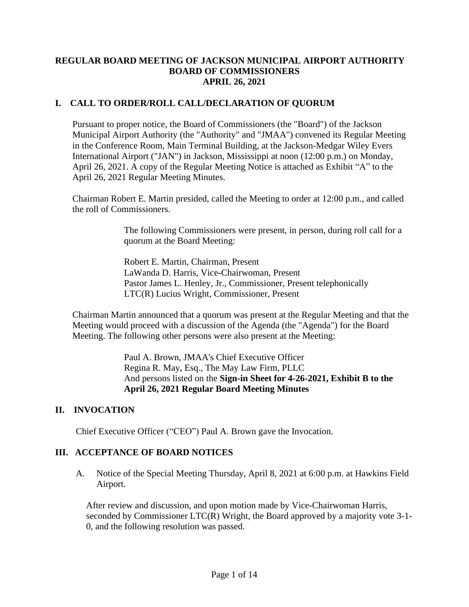#### **REGULAR BOARD MEETING OF JACKSON MUNICIPAL AIRPORT AUTHORITY BOARD OF COMMISSIONERS APRIL 26, 2021**

# **I. CALL TO ORDER/ROLL CALL/DECLARATION OF QUORUM**

Pursuant to proper notice, the Board of Commissioners (the "Board") of the Jackson Municipal Airport Authority (the "Authority" and "JMAA") convened its Regular Meeting in the Conference Room, Main Terminal Building, at the Jackson-Medgar Wiley Evers International Airport ("JAN") in Jackson, Mississippi at noon (12:00 p.m.) on Monday, April 26, 2021. A copy of the Regular Meeting Notice is attached as Exhibit "A" to the April 26, 2021 Regular Meeting Minutes.

Chairman Robert E. Martin presided, called the Meeting to order at 12:00 p.m., and called the roll of Commissioners.

> The following Commissioners were present, in person, during roll call for a quorum at the Board Meeting:

Robert E. Martin, Chairman, Present LaWanda D. Harris, Vice-Chairwoman, Present Pastor James L. Henley, Jr., Commissioner, Present telephonically LTC(R) Lucius Wright, Commissioner, Present

Chairman Martin announced that a quorum was present at the Regular Meeting and that the Meeting would proceed with a discussion of the Agenda (the "Agenda") for the Board Meeting. The following other persons were also present at the Meeting:

> Paul A. Brown, JMAA's Chief Executive Officer Regina R. May, Esq., The May Law Firm, PLLC And persons listed on the **Sign-in Sheet for 4-26-2021, Exhibit B to the April 26, 2021 Regular Board Meeting Minutes**

# **II. INVOCATION**

Chief Executive Officer ("CEO") Paul A. Brown gave the Invocation.

# **III. ACCEPTANCE OF BOARD NOTICES**

A. Notice of the Special Meeting Thursday, April 8, 2021 at 6:00 p.m. at Hawkins Field Airport.

After review and discussion, and upon motion made by Vice-Chairwoman Harris, seconded by Commissioner LTC(R) Wright, the Board approved by a majority vote 3-1- 0, and the following resolution was passed.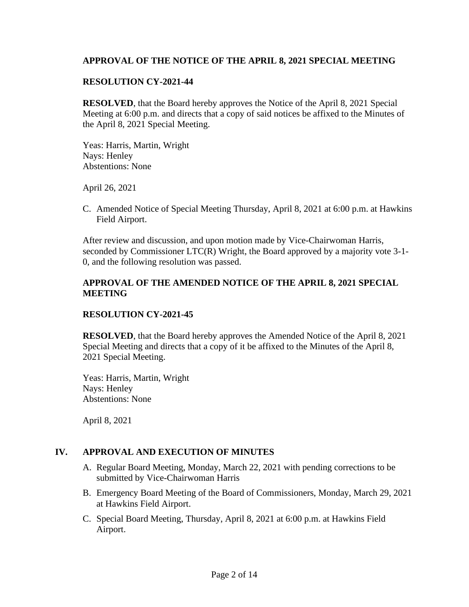### **APPROVAL OF THE NOTICE OF THE APRIL 8, 2021 SPECIAL MEETING**

#### **RESOLUTION CY-2021-44**

**RESOLVED**, that the Board hereby approves the Notice of the April 8, 2021 Special Meeting at 6:00 p.m. and directs that a copy of said notices be affixed to the Minutes of the April 8, 2021 Special Meeting.

Yeas: Harris, Martin, Wright Nays: Henley Abstentions: None

April 26, 2021

C. Amended Notice of Special Meeting Thursday, April 8, 2021 at 6:00 p.m. at Hawkins Field Airport.

After review and discussion, and upon motion made by Vice-Chairwoman Harris, seconded by Commissioner LTC(R) Wright, the Board approved by a majority vote 3-1- 0, and the following resolution was passed.

# **APPROVAL OF THE AMENDED NOTICE OF THE APRIL 8, 2021 SPECIAL MEETING**

#### **RESOLUTION CY-2021-45**

**RESOLVED**, that the Board hereby approves the Amended Notice of the April 8, 2021 Special Meeting and directs that a copy of it be affixed to the Minutes of the April 8, 2021 Special Meeting.

Yeas: Harris, Martin, Wright Nays: Henley Abstentions: None

April 8, 2021

#### **IV. APPROVAL AND EXECUTION OF MINUTES**

- A. Regular Board Meeting, Monday, March 22, 2021 with pending corrections to be submitted by Vice-Chairwoman Harris
- B. Emergency Board Meeting of the Board of Commissioners, Monday, March 29, 2021 at Hawkins Field Airport.
- C. Special Board Meeting, Thursday, April 8, 2021 at 6:00 p.m. at Hawkins Field Airport.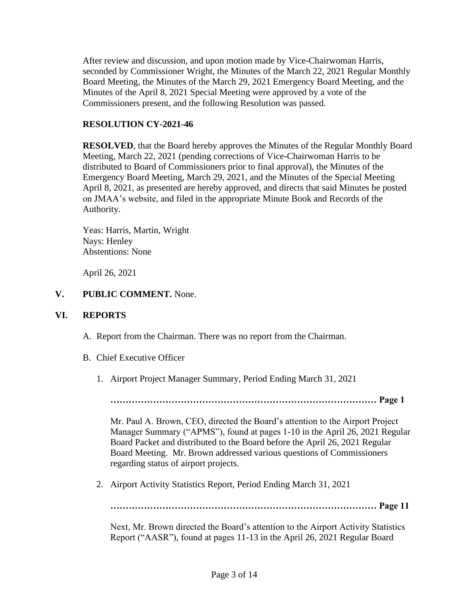After review and discussion, and upon motion made by Vice-Chairwoman Harris, seconded by Commissioner Wright, the Minutes of the March 22, 2021 Regular Monthly Board Meeting, the Minutes of the March 29, 2021 Emergency Board Meeting, and the Minutes of the April 8, 2021 Special Meeting were approved by a vote of the Commissioners present, and the following Resolution was passed.

#### **RESOLUTION CY-2021-46**

**RESOLVED**, that the Board hereby approves the Minutes of the Regular Monthly Board Meeting, March 22, 2021 (pending corrections of Vice-Chairwoman Harris to be distributed to Board of Commissioners prior to final approval), the Minutes of the Emergency Board Meeting, March 29, 2021, and the Minutes of the Special Meeting April 8, 2021, as presented are hereby approved, and directs that said Minutes be posted on JMAA's website, and filed in the appropriate Minute Book and Records of the Authority.

Yeas: Harris, Martin, Wright Nays: Henley Abstentions: None

April 26, 2021

#### **V. PUBLIC COMMENT.** None.

#### **VI. REPORTS**

- A. Report from the Chairman. There was no report from the Chairman.
- B. Chief Executive Officer
	- 1. Airport Project Manager Summary, Period Ending March 31, 2021

**…………………………………………………………………………… Page 1**

Mr. Paul A. Brown, CEO, directed the Board's attention to the Airport Project Manager Summary ("APMS"), found at pages 1-10 in the April 26, 2021 Regular Board Packet and distributed to the Board before the April 26, 2021 Regular Board Meeting. Mr. Brown addressed various questions of Commissioners regarding status of airport projects.

2. Airport Activity Statistics Report, Period Ending March 31, 2021

**…………………………………………………………………………… Page 11**

Next, Mr. Brown directed the Board's attention to the Airport Activity Statistics Report ("AASR"), found at pages 11-13 in the April 26, 2021 Regular Board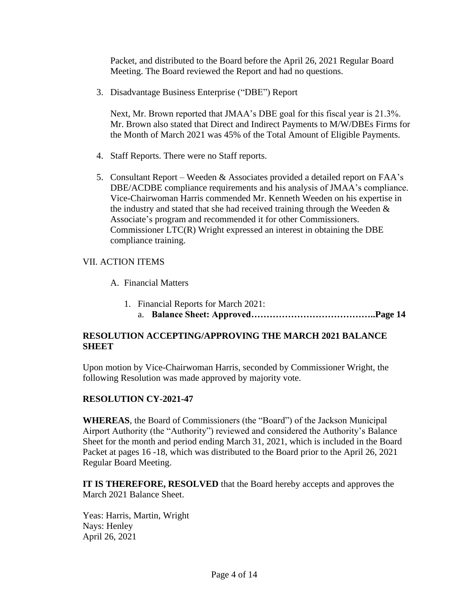Packet, and distributed to the Board before the April 26, 2021 Regular Board Meeting. The Board reviewed the Report and had no questions.

3. Disadvantage Business Enterprise ("DBE") Report

Next, Mr. Brown reported that JMAA's DBE goal for this fiscal year is 21.3%. Mr. Brown also stated that Direct and Indirect Payments to M/W/DBEs Firms for the Month of March 2021 was 45% of the Total Amount of Eligible Payments.

- 4. Staff Reports. There were no Staff reports.
- 5. Consultant Report Weeden & Associates provided a detailed report on FAA's DBE/ACDBE compliance requirements and his analysis of JMAA's compliance. Vice-Chairwoman Harris commended Mr. Kenneth Weeden on his expertise in the industry and stated that she had received training through the Weeden  $\&$ Associate's program and recommended it for other Commissioners. Commissioner LTC(R) Wright expressed an interest in obtaining the DBE compliance training.

#### VII. ACTION ITEMS

A. Financial Matters

1. Financial Reports for March 2021: a. **Balance Sheet: Approved…………………………………..Page 14**

# **RESOLUTION ACCEPTING/APPROVING THE MARCH 2021 BALANCE SHEET**

Upon motion by Vice-Chairwoman Harris, seconded by Commissioner Wright, the following Resolution was made approved by majority vote.

#### **RESOLUTION CY-2021-47**

**WHEREAS**, the Board of Commissioners (the "Board") of the Jackson Municipal Airport Authority (the "Authority") reviewed and considered the Authority's Balance Sheet for the month and period ending March 31, 2021, which is included in the Board Packet at pages 16 -18, which was distributed to the Board prior to the April 26, 2021 Regular Board Meeting.

**IT IS THEREFORE, RESOLVED** that the Board hereby accepts and approves the March 2021 Balance Sheet.

Yeas: Harris, Martin, Wright Nays: Henley April 26, 2021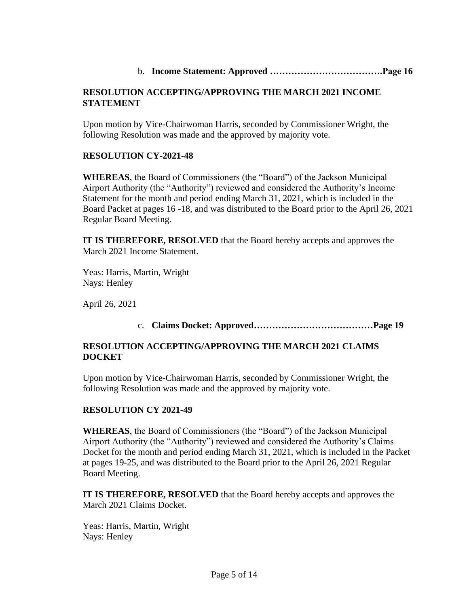# b. **Income Statement: Approved ……………………………….Page 16**

# **RESOLUTION ACCEPTING/APPROVING THE MARCH 2021 INCOME STATEMENT**

Upon motion by Vice-Chairwoman Harris, seconded by Commissioner Wright, the following Resolution was made and the approved by majority vote.

# **RESOLUTION CY-2021-48**

**WHEREAS**, the Board of Commissioners (the "Board") of the Jackson Municipal Airport Authority (the "Authority") reviewed and considered the Authority's Income Statement for the month and period ending March 31, 2021, which is included in the Board Packet at pages 16 -18, and was distributed to the Board prior to the April 26, 2021 Regular Board Meeting.

**IT IS THEREFORE, RESOLVED** that the Board hereby accepts and approves the March 2021 Income Statement.

Yeas: Harris, Martin, Wright Nays: Henley

April 26, 2021

# c. **Claims Docket: Approved…………………………………Page 19**

# **RESOLUTION ACCEPTING/APPROVING THE MARCH 2021 CLAIMS DOCKET**

Upon motion by Vice-Chairwoman Harris, seconded by Commissioner Wright, the following Resolution was made and the approved by majority vote.

# **RESOLUTION CY 2021-49**

**WHEREAS**, the Board of Commissioners (the "Board") of the Jackson Municipal Airport Authority (the "Authority") reviewed and considered the Authority's Claims Docket for the month and period ending March 31, 2021, which is included in the Packet at pages 19-25, and was distributed to the Board prior to the April 26, 2021 Regular Board Meeting.

**IT IS THEREFORE, RESOLVED** that the Board hereby accepts and approves the March 2021 Claims Docket.

Yeas: Harris, Martin, Wright Nays: Henley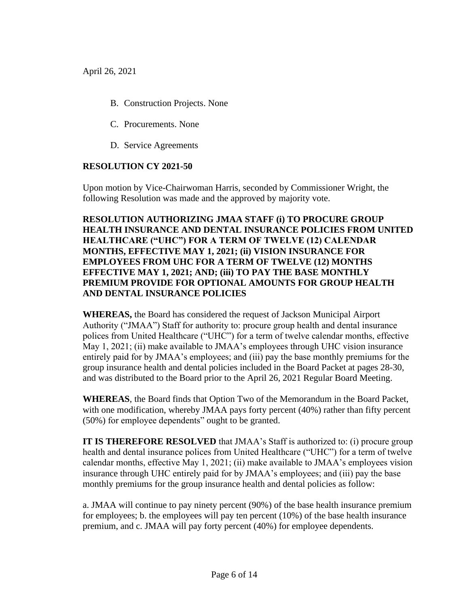- B. Construction Projects. None
- C. Procurements. None
- D. Service Agreements

# **RESOLUTION CY 2021-50**

Upon motion by Vice-Chairwoman Harris, seconded by Commissioner Wright, the following Resolution was made and the approved by majority vote.

# **RESOLUTION AUTHORIZING JMAA STAFF (i) TO PROCURE GROUP HEALTH INSURANCE AND DENTAL INSURANCE POLICIES FROM UNITED HEALTHCARE ("UHC") FOR A TERM OF TWELVE (12) CALENDAR MONTHS, EFFECTIVE MAY 1, 2021; (ii) VISION INSURANCE FOR EMPLOYEES FROM UHC FOR A TERM OF TWELVE (12) MONTHS EFFECTIVE MAY 1, 2021; AND; (iii) TO PAY THE BASE MONTHLY PREMIUM PROVIDE FOR OPTIONAL AMOUNTS FOR GROUP HEALTH AND DENTAL INSURANCE POLICIES**

**WHEREAS,** the Board has considered the request of Jackson Municipal Airport Authority ("JMAA") Staff for authority to: procure group health and dental insurance polices from United Healthcare ("UHC") for a term of twelve calendar months, effective May 1, 2021; (ii) make available to JMAA's employees through UHC vision insurance entirely paid for by JMAA's employees; and (iii) pay the base monthly premiums for the group insurance health and dental policies included in the Board Packet at pages 28-30, and was distributed to the Board prior to the April 26, 2021 Regular Board Meeting.

**WHEREAS**, the Board finds that Option Two of the Memorandum in the Board Packet, with one modification, whereby JMAA pays forty percent (40%) rather than fifty percent (50%) for employee dependents" ought to be granted.

**IT IS THEREFORE RESOLVED** that JMAA's Staff is authorized to: (i) procure group health and dental insurance polices from United Healthcare ("UHC") for a term of twelve calendar months, effective May 1, 2021; (ii) make available to JMAA's employees vision insurance through UHC entirely paid for by JMAA's employees; and (iii) pay the base monthly premiums for the group insurance health and dental policies as follow:

a. JMAA will continue to pay ninety percent (90%) of the base health insurance premium for employees; b. the employees will pay ten percent (10%) of the base health insurance premium, and c. JMAA will pay forty percent (40%) for employee dependents.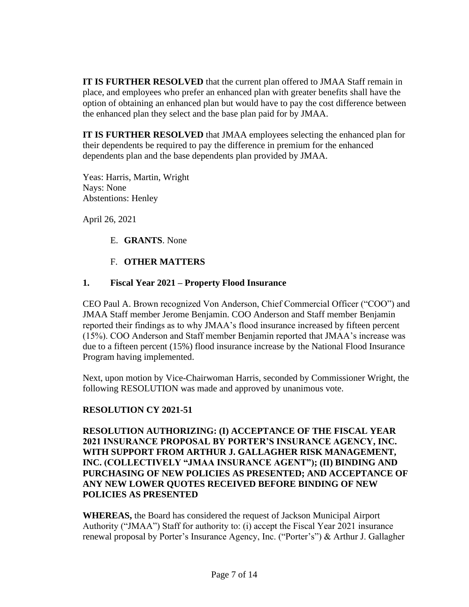**IT IS FURTHER RESOLVED** that the current plan offered to JMAA Staff remain in place, and employees who prefer an enhanced plan with greater benefits shall have the option of obtaining an enhanced plan but would have to pay the cost difference between the enhanced plan they select and the base plan paid for by JMAA.

**IT IS FURTHER RESOLVED** that JMAA employees selecting the enhanced plan for their dependents be required to pay the difference in premium for the enhanced dependents plan and the base dependents plan provided by JMAA.

Yeas: Harris, Martin, Wright Nays: None Abstentions: Henley

April 26, 2021

E. **GRANTS**. None

# F. **OTHER MATTERS**

# **1. Fiscal Year 2021 – Property Flood Insurance**

CEO Paul A. Brown recognized Von Anderson, Chief Commercial Officer ("COO") and JMAA Staff member Jerome Benjamin. COO Anderson and Staff member Benjamin reported their findings as to why JMAA's flood insurance increased by fifteen percent (15%). COO Anderson and Staff member Benjamin reported that JMAA's increase was due to a fifteen percent (15%) flood insurance increase by the National Flood Insurance Program having implemented.

Next, upon motion by Vice-Chairwoman Harris, seconded by Commissioner Wright, the following RESOLUTION was made and approved by unanimous vote.

# **RESOLUTION CY 2021-51**

# **RESOLUTION AUTHORIZING: (I) ACCEPTANCE OF THE FISCAL YEAR 2021 INSURANCE PROPOSAL BY PORTER'S INSURANCE AGENCY, INC. WITH SUPPORT FROM ARTHUR J. GALLAGHER RISK MANAGEMENT, INC. (COLLECTIVELY "JMAA INSURANCE AGENT"); (II) BINDING AND PURCHASING OF NEW POLICIES AS PRESENTED; AND ACCEPTANCE OF ANY NEW LOWER QUOTES RECEIVED BEFORE BINDING OF NEW POLICIES AS PRESENTED**

**WHEREAS,** the Board has considered the request of Jackson Municipal Airport Authority ("JMAA") Staff for authority to: (i) accept the Fiscal Year 2021 insurance renewal proposal by Porter's Insurance Agency, Inc. ("Porter's") & Arthur J. Gallagher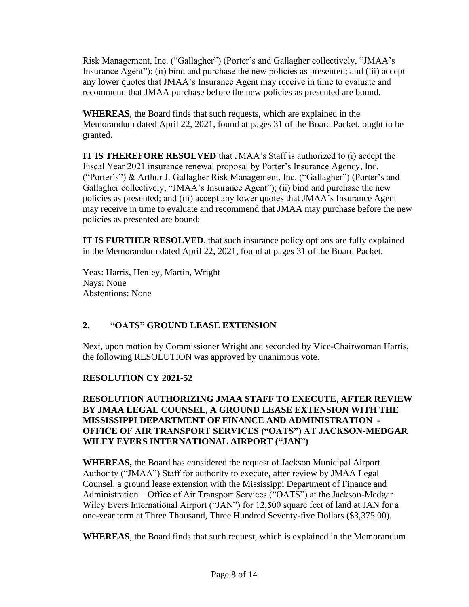Risk Management, Inc. ("Gallagher") (Porter's and Gallagher collectively, "JMAA's Insurance Agent"); (ii) bind and purchase the new policies as presented; and (iii) accept any lower quotes that JMAA's Insurance Agent may receive in time to evaluate and recommend that JMAA purchase before the new policies as presented are bound.

**WHEREAS**, the Board finds that such requests, which are explained in the Memorandum dated April 22, 2021, found at pages 31 of the Board Packet, ought to be granted.

**IT IS THEREFORE RESOLVED** that JMAA's Staff is authorized to (i) accept the Fiscal Year 2021 insurance renewal proposal by Porter's Insurance Agency, Inc. ("Porter's") & Arthur J. Gallagher Risk Management, Inc. ("Gallagher") (Porter's and Gallagher collectively, "JMAA's Insurance Agent"); (ii) bind and purchase the new policies as presented; and (iii) accept any lower quotes that JMAA's Insurance Agent may receive in time to evaluate and recommend that JMAA may purchase before the new policies as presented are bound;

**IT IS FURTHER RESOLVED**, that such insurance policy options are fully explained in the Memorandum dated April 22, 2021, found at pages 31 of the Board Packet.

Yeas: Harris, Henley, Martin, Wright Nays: None Abstentions: None

# **2. "OATS" GROUND LEASE EXTENSION**

Next, upon motion by Commissioner Wright and seconded by Vice-Chairwoman Harris, the following RESOLUTION was approved by unanimous vote.

# **RESOLUTION CY 2021-52**

# **RESOLUTION AUTHORIZING JMAA STAFF TO EXECUTE, AFTER REVIEW BY JMAA LEGAL COUNSEL, A GROUND LEASE EXTENSION WITH THE MISSISSIPPI DEPARTMENT OF FINANCE AND ADMINISTRATION - OFFICE OF AIR TRANSPORT SERVICES ("OATS") AT JACKSON-MEDGAR WILEY EVERS INTERNATIONAL AIRPORT ("JAN")**

**WHEREAS,** the Board has considered the request of Jackson Municipal Airport Authority ("JMAA") Staff for authority to execute, after review by JMAA Legal Counsel, a ground lease extension with the Mississippi Department of Finance and Administration – Office of Air Transport Services ("OATS") at the Jackson-Medgar Wiley Evers International Airport ("JAN") for 12,500 square feet of land at JAN for a one-year term at Three Thousand, Three Hundred Seventy-five Dollars (\$3,375.00).

**WHEREAS**, the Board finds that such request, which is explained in the Memorandum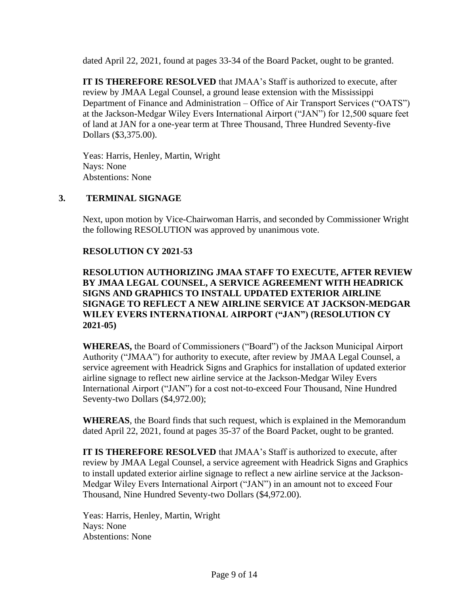dated April 22, 2021, found at pages 33-34 of the Board Packet, ought to be granted.

**IT IS THEREFORE RESOLVED** that JMAA's Staff is authorized to execute, after review by JMAA Legal Counsel, a ground lease extension with the Mississippi Department of Finance and Administration – Office of Air Transport Services ("OATS") at the Jackson-Medgar Wiley Evers International Airport ("JAN") for 12,500 square feet of land at JAN for a one-year term at Three Thousand, Three Hundred Seventy-five Dollars (\$3,375.00).

Yeas: Harris, Henley, Martin, Wright Nays: None Abstentions: None

# **3. TERMINAL SIGNAGE**

Next, upon motion by Vice-Chairwoman Harris, and seconded by Commissioner Wright the following RESOLUTION was approved by unanimous vote.

#### **RESOLUTION CY 2021-53**

**RESOLUTION AUTHORIZING JMAA STAFF TO EXECUTE, AFTER REVIEW BY JMAA LEGAL COUNSEL, A SERVICE AGREEMENT WITH HEADRICK SIGNS AND GRAPHICS TO INSTALL UPDATED EXTERIOR AIRLINE SIGNAGE TO REFLECT A NEW AIRLINE SERVICE AT JACKSON-MEDGAR WILEY EVERS INTERNATIONAL AIRPORT ("JAN") (RESOLUTION CY 2021-05)**

**WHEREAS,** the Board of Commissioners ("Board") of the Jackson Municipal Airport Authority ("JMAA") for authority to execute, after review by JMAA Legal Counsel, a service agreement with Headrick Signs and Graphics for installation of updated exterior airline signage to reflect new airline service at the Jackson-Medgar Wiley Evers International Airport ("JAN") for a cost not-to-exceed Four Thousand, Nine Hundred Seventy-two Dollars (\$4,972.00);

**WHEREAS**, the Board finds that such request, which is explained in the Memorandum dated April 22, 2021, found at pages 35-37 of the Board Packet, ought to be granted.

**IT IS THEREFORE RESOLVED** that JMAA's Staff is authorized to execute, after review by JMAA Legal Counsel, a service agreement with Headrick Signs and Graphics to install updated exterior airline signage to reflect a new airline service at the Jackson-Medgar Wiley Evers International Airport ("JAN") in an amount not to exceed Four Thousand, Nine Hundred Seventy-two Dollars (\$4,972.00).

Yeas: Harris, Henley, Martin, Wright Nays: None Abstentions: None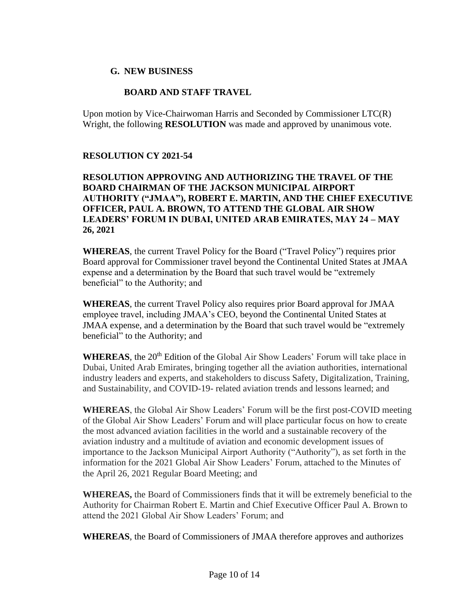#### **G. NEW BUSINESS**

#### **BOARD AND STAFF TRAVEL**

Upon motion by Vice-Chairwoman Harris and Seconded by Commissioner LTC(R) Wright, the following **RESOLUTION** was made and approved by unanimous vote.

#### **RESOLUTION CY 2021-54**

# **RESOLUTION APPROVING AND AUTHORIZING THE TRAVEL OF THE BOARD CHAIRMAN OF THE JACKSON MUNICIPAL AIRPORT AUTHORITY ("JMAA"), ROBERT E. MARTIN, AND THE CHIEF EXECUTIVE OFFICER, PAUL A. BROWN, TO ATTEND THE GLOBAL AIR SHOW LEADERS' FORUM IN DUBAI, UNITED ARAB EMIRATES, MAY 24 – MAY 26, 2021**

**WHEREAS**, the current Travel Policy for the Board ("Travel Policy") requires prior Board approval for Commissioner travel beyond the Continental United States at JMAA expense and a determination by the Board that such travel would be "extremely beneficial" to the Authority; and

**WHEREAS**, the current Travel Policy also requires prior Board approval for JMAA employee travel, including JMAA's CEO, beyond the Continental United States at JMAA expense, and a determination by the Board that such travel would be "extremely beneficial" to the Authority; and

WHEREAS, the 20<sup>th</sup> Edition of the Global Air Show Leaders' Forum will take place in Dubai, United Arab Emirates, bringing together all the aviation authorities, international industry leaders and experts, and stakeholders to discuss Safety, Digitalization, Training, and Sustainability, and COVID-19- related aviation trends and lessons learned; and

**WHEREAS**, the Global Air Show Leaders' Forum will be the first post-COVID meeting of the Global Air Show Leaders' Forum and will place particular focus on how to create the most advanced aviation facilities in the world and a sustainable recovery of the aviation industry and a multitude of aviation and economic development issues of importance to the Jackson Municipal Airport Authority ("Authority"), as set forth in the information for the 2021 Global Air Show Leaders' Forum, attached to the Minutes of the April 26, 2021 Regular Board Meeting; and

**WHEREAS,** the Board of Commissioners finds that it will be extremely beneficial to the Authority for Chairman Robert E. Martin and Chief Executive Officer Paul A. Brown to attend the 2021 Global Air Show Leaders' Forum; and

**WHEREAS**, the Board of Commissioners of JMAA therefore approves and authorizes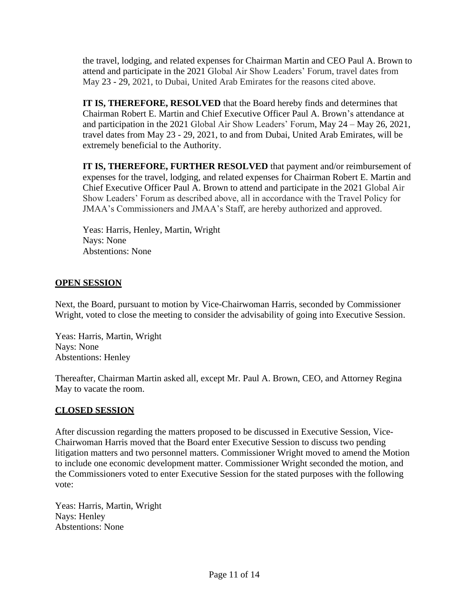the travel, lodging, and related expenses for Chairman Martin and CEO Paul A. Brown to attend and participate in the 2021 Global Air Show Leaders' Forum, travel dates from May 23 - 29, 2021, to Dubai, United Arab Emirates for the reasons cited above.

**IT IS, THEREFORE, RESOLVED** that the Board hereby finds and determines that Chairman Robert E. Martin and Chief Executive Officer Paul A. Brown's attendance at and participation in the 2021 Global Air Show Leaders' Forum, May 24 – May 26, 2021, travel dates from May 23 - 29, 2021, to and from Dubai, United Arab Emirates, will be extremely beneficial to the Authority.

**IT IS, THEREFORE, FURTHER RESOLVED** that payment and/or reimbursement of expenses for the travel, lodging, and related expenses for Chairman Robert E. Martin and Chief Executive Officer Paul A. Brown to attend and participate in the 2021 Global Air Show Leaders' Forum as described above, all in accordance with the Travel Policy for JMAA's Commissioners and JMAA's Staff, are hereby authorized and approved.

Yeas: Harris, Henley, Martin, Wright Nays: None Abstentions: None

#### **OPEN SESSION**

Next, the Board, pursuant to motion by Vice-Chairwoman Harris, seconded by Commissioner Wright, voted to close the meeting to consider the advisability of going into Executive Session.

Yeas: Harris, Martin, Wright Nays: None Abstentions: Henley

Thereafter, Chairman Martin asked all, except Mr. Paul A. Brown, CEO, and Attorney Regina May to vacate the room.

#### **CLOSED SESSION**

After discussion regarding the matters proposed to be discussed in Executive Session, Vice-Chairwoman Harris moved that the Board enter Executive Session to discuss two pending litigation matters and two personnel matters. Commissioner Wright moved to amend the Motion to include one economic development matter. Commissioner Wright seconded the motion, and the Commissioners voted to enter Executive Session for the stated purposes with the following vote:

Yeas: Harris, Martin, Wright Nays: Henley Abstentions: None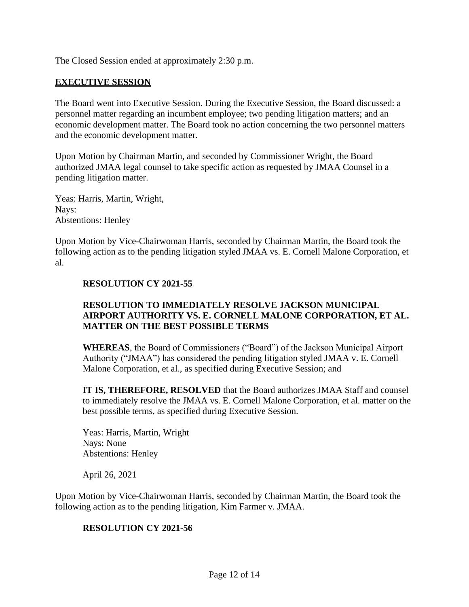The Closed Session ended at approximately 2:30 p.m.

#### **EXECUTIVE SESSION**

The Board went into Executive Session. During the Executive Session, the Board discussed: a personnel matter regarding an incumbent employee; two pending litigation matters; and an economic development matter. The Board took no action concerning the two personnel matters and the economic development matter.

Upon Motion by Chairman Martin, and seconded by Commissioner Wright, the Board authorized JMAA legal counsel to take specific action as requested by JMAA Counsel in a pending litigation matter.

Yeas: Harris, Martin, Wright, Nays: Abstentions: Henley

Upon Motion by Vice-Chairwoman Harris, seconded by Chairman Martin, the Board took the following action as to the pending litigation styled JMAA vs. E. Cornell Malone Corporation, et al.

#### **RESOLUTION CY 2021-55**

#### **RESOLUTION TO IMMEDIATELY RESOLVE JACKSON MUNICIPAL AIRPORT AUTHORITY VS. E. CORNELL MALONE CORPORATION, ET AL. MATTER ON THE BEST POSSIBLE TERMS**

**WHEREAS**, the Board of Commissioners ("Board") of the Jackson Municipal Airport Authority ("JMAA") has considered the pending litigation styled JMAA v. E. Cornell Malone Corporation, et al., as specified during Executive Session; and

**IT IS, THEREFORE, RESOLVED** that the Board authorizes JMAA Staff and counsel to immediately resolve the JMAA vs. E. Cornell Malone Corporation, et al. matter on the best possible terms, as specified during Executive Session.

Yeas: Harris, Martin, Wright Nays: None Abstentions: Henley

April 26, 2021

Upon Motion by Vice-Chairwoman Harris, seconded by Chairman Martin, the Board took the following action as to the pending litigation, Kim Farmer v. JMAA.

#### **RESOLUTION CY 2021-56**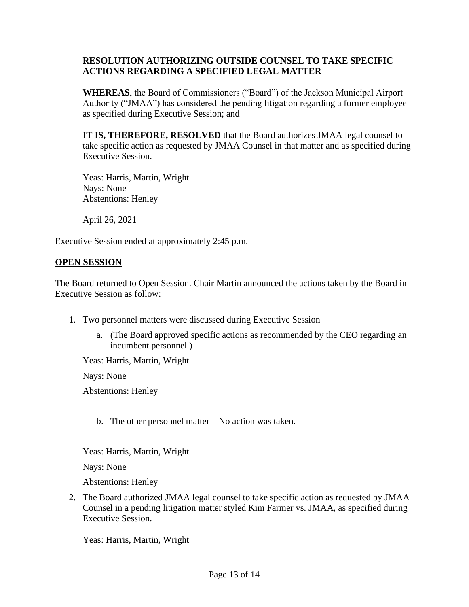# **RESOLUTION AUTHORIZING OUTSIDE COUNSEL TO TAKE SPECIFIC ACTIONS REGARDING A SPECIFIED LEGAL MATTER**

**WHEREAS**, the Board of Commissioners ("Board") of the Jackson Municipal Airport Authority ("JMAA") has considered the pending litigation regarding a former employee as specified during Executive Session; and

**IT IS, THEREFORE, RESOLVED** that the Board authorizes JMAA legal counsel to take specific action as requested by JMAA Counsel in that matter and as specified during Executive Session.

Yeas: Harris, Martin, Wright Nays: None Abstentions: Henley

April 26, 2021

Executive Session ended at approximately 2:45 p.m.

#### **OPEN SESSION**

The Board returned to Open Session. Chair Martin announced the actions taken by the Board in Executive Session as follow:

- 1. Two personnel matters were discussed during Executive Session
	- a. (The Board approved specific actions as recommended by the CEO regarding an incumbent personnel.)

Yeas: Harris, Martin, Wright

Nays: None

Abstentions: Henley

b. The other personnel matter – No action was taken.

Yeas: Harris, Martin, Wright

Nays: None

Abstentions: Henley

2. The Board authorized JMAA legal counsel to take specific action as requested by JMAA Counsel in a pending litigation matter styled Kim Farmer vs. JMAA, as specified during Executive Session.

Yeas: Harris, Martin, Wright